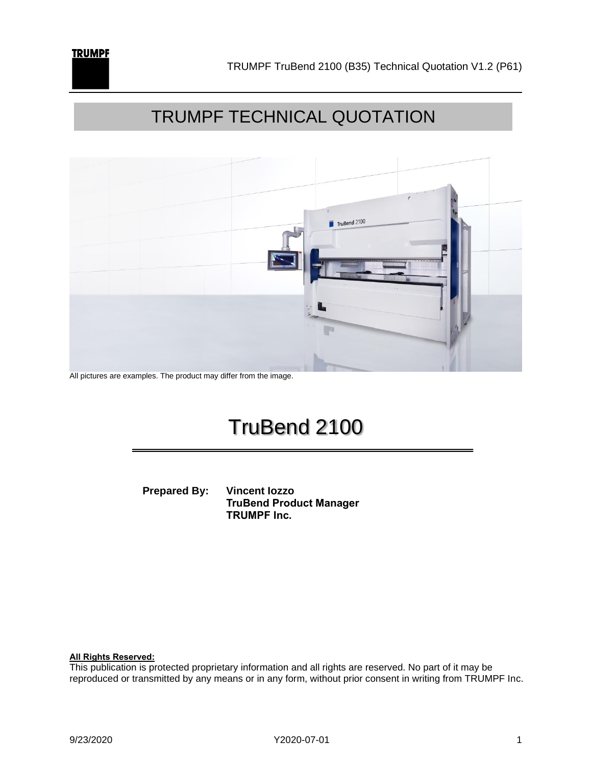



All pictures are examples. The product may differ from the image.

### TruBend 2100

**Prepared By: Vincent Iozzo TruBend Product Manager TRUMPF Inc.** 

**All Rights Reserved:**

This publication is protected proprietary information and all rights are reserved. No part of it may be reproduced or transmitted by any means or in any form, without prior consent in writing from TRUMPF Inc.

**TRUMPF**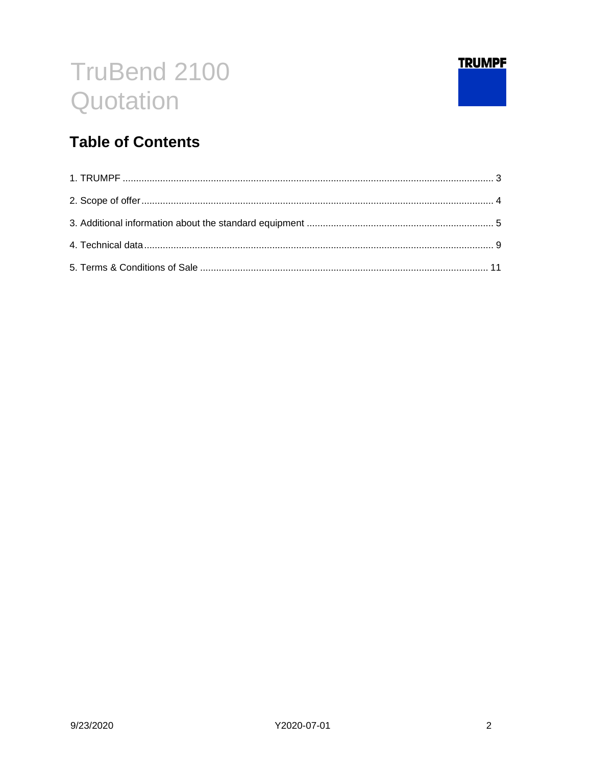

### **Table of Contents**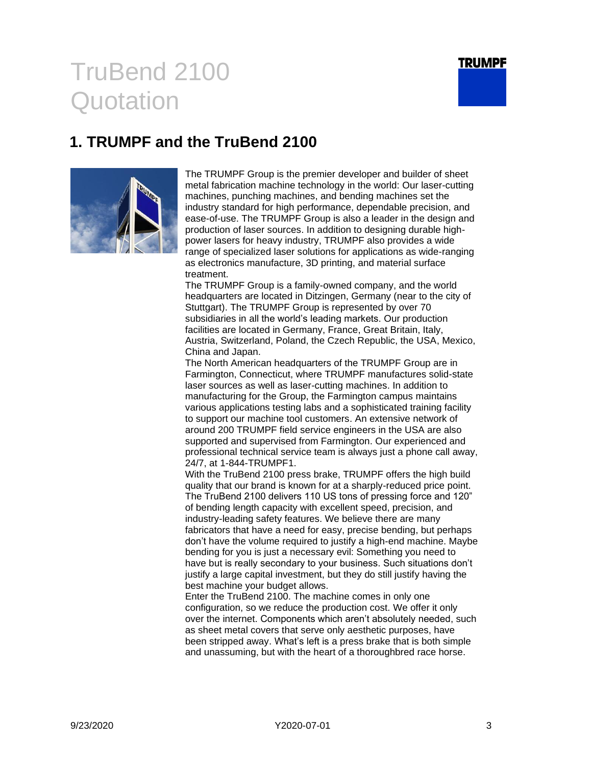

### <span id="page-2-0"></span>**1. TRUMPF and the TruBend 2100**



The TRUMPF Group is the premier developer and builder of sheet metal fabrication machine technology in the world: Our laser-cutting machines, punching machines, and bending machines set the industry standard for high performance, dependable precision, and ease-of-use. The TRUMPF Group is also a leader in the design and production of laser sources. In addition to designing durable highpower lasers for heavy industry, TRUMPF also provides a wide range of specialized laser solutions for applications as wide-ranging as electronics manufacture, 3D printing, and material surface treatment.

The TRUMPF Group is a family-owned company, and the world headquarters are located in Ditzingen, Germany (near to the city of Stuttgart). The TRUMPF Group is represented by over 70 subsidiaries in all the world's leading markets. Our production facilities are located in Germany, France, Great Britain, Italy, Austria, Switzerland, Poland, the Czech Republic, the USA, Mexico, China and Japan.

The North American headquarters of the TRUMPF Group are in Farmington, Connecticut, where TRUMPF manufactures solid-state laser sources as well as laser-cutting machines. In addition to manufacturing for the Group, the Farmington campus maintains various applications testing labs and a sophisticated training facility to support our machine tool customers. An extensive network of around 200 TRUMPF field service engineers in the USA are also supported and supervised from Farmington. Our experienced and professional technical service team is always just a phone call away, 24/7, at 1-844-TRUMPF1.

With the TruBend 2100 press brake, TRUMPF offers the high build quality that our brand is known for at a sharply-reduced price point. The TruBend 2100 delivers 110 US tons of pressing force and 120" of bending length capacity with excellent speed, precision, and industry-leading safety features. We believe there are many fabricators that have a need for easy, precise bending, but perhaps don't have the volume required to justify a high-end machine. Maybe bending for you is just a necessary evil: Something you need to have but is really secondary to your business. Such situations don't justify a large capital investment, but they do still justify having the best machine your budget allows.

Enter the TruBend 2100. The machine comes in only one configuration, so we reduce the production cost. We offer it only over the internet. Components which aren't absolutely needed, such as sheet metal covers that serve only aesthetic purposes, have been stripped away. What's left is a press brake that is both simple and unassuming, but with the heart of a thoroughbred race horse.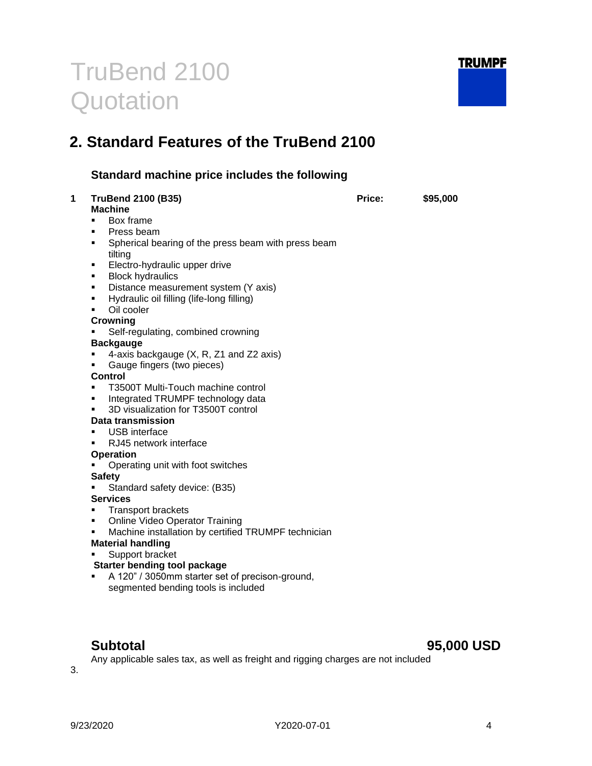

### <span id="page-3-0"></span>**2. Standard Features of the TruBend 2100**

### **Standard machine price includes the following**

| <b>TruBend 2100 (B35)</b>                                      | Price: | \$95,000 |
|----------------------------------------------------------------|--------|----------|
| <b>Machine</b>                                                 |        |          |
| Box frame<br>٠<br>٠                                            |        |          |
| Press beam<br>٠                                                |        |          |
| Spherical bearing of the press beam with press beam<br>tilting |        |          |
| Electro-hydraulic upper drive<br>٠                             |        |          |
| <b>Block hydraulics</b><br>٠                                   |        |          |
| Distance measurement system (Y axis)<br>٠                      |        |          |
| Hydraulic oil filling (life-long filling)<br>٠                 |        |          |
| Oil cooler<br>٠                                                |        |          |
| <b>Crowning</b>                                                |        |          |
| Self-regulating, combined crowning                             |        |          |
| <b>Backgauge</b>                                               |        |          |
| 4-axis backgauge (X, R, Z1 and Z2 axis)<br>٠                   |        |          |
| Gauge fingers (two pieces)<br>٠                                |        |          |
| <b>Control</b>                                                 |        |          |
| T3500T Multi-Touch machine control<br>٠                        |        |          |
| Integrated TRUMPF technology data<br>٠                         |        |          |
| 3D visualization for T3500T control<br>٠                       |        |          |
| <b>Data transmission</b>                                       |        |          |
| <b>USB</b> interface<br>٠                                      |        |          |
| RJ45 network interface<br>٠                                    |        |          |
| <b>Operation</b>                                               |        |          |
| Operating unit with foot switches                              |        |          |
| <b>Safety</b>                                                  |        |          |
| Standard safety device: (B35)<br>٠                             |        |          |
| <b>Services</b>                                                |        |          |
| <b>Transport brackets</b><br>٠                                 |        |          |
| <b>Online Video Operator Training</b><br>٠                     |        |          |
| Machine installation by certified TRUMPF technician<br>٠       |        |          |
| <b>Material handling</b>                                       |        |          |
| Support bracket                                                |        |          |
| <b>Starter bending tool package</b>                            |        |          |
| A 120" / 3050mm starter set of precison-ground,<br>٠           |        |          |
| segmented bending tools is included                            |        |          |

### **Subtotal 95,000 USD**

Any applicable sales tax, as well as freight and rigging charges are not included

3.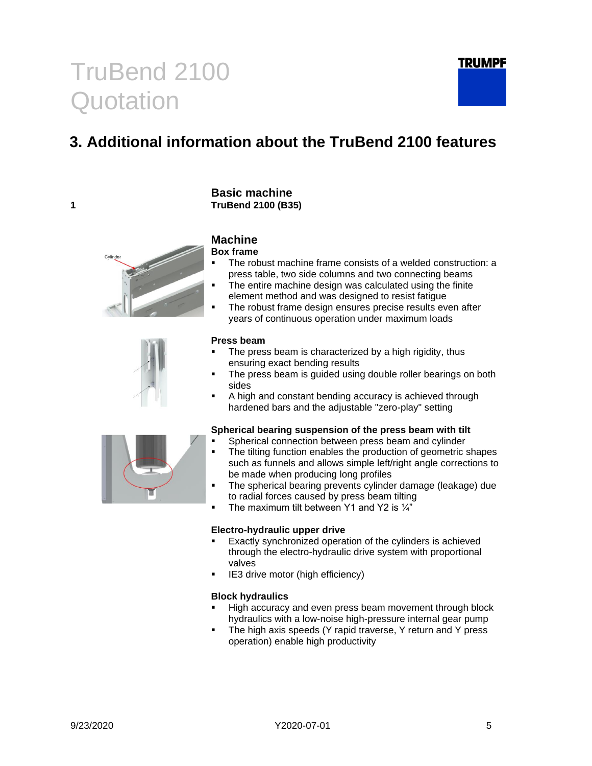### <span id="page-4-0"></span>**3. Additional information about the TruBend 2100 features**





**Basic machine**

**Box frame**

- The robust machine frame consists of a welded construction: a press table, two side columns and two connecting beams
- The entire machine design was calculated using the finite element method and was designed to resist fatigue
- The robust frame design ensures precise results even after years of continuous operation under maximum loads

#### **Press beam**

- The press beam is characterized by a high rigidity, thus ensuring exact bending results
- The press beam is guided using double roller bearings on both sides
- A high and constant bending accuracy is achieved through hardened bars and the adjustable "zero-play" setting

#### **Spherical bearing suspension of the press beam with tilt**

- Spherical connection between press beam and cylinder
- The tilting function enables the production of geometric shapes such as funnels and allows simple left/right angle corrections to be made when producing long profiles
- The spherical bearing prevents cylinder damage (leakage) due to radial forces caused by press beam tilting
- The maximum tilt between Y1 and Y2 is  $\frac{1}{4}$

#### **Electro-hydraulic upper drive**

- Exactly synchronized operation of the cylinders is achieved through the electro-hydraulic drive system with proportional valves
- IE3 drive motor (high efficiency)

#### **Block hydraulics**

- High accuracy and even press beam movement through block hydraulics with a low-noise high-pressure internal gear pump
- The high axis speeds (Y rapid traverse, Y return and Y press operation) enable high productivity

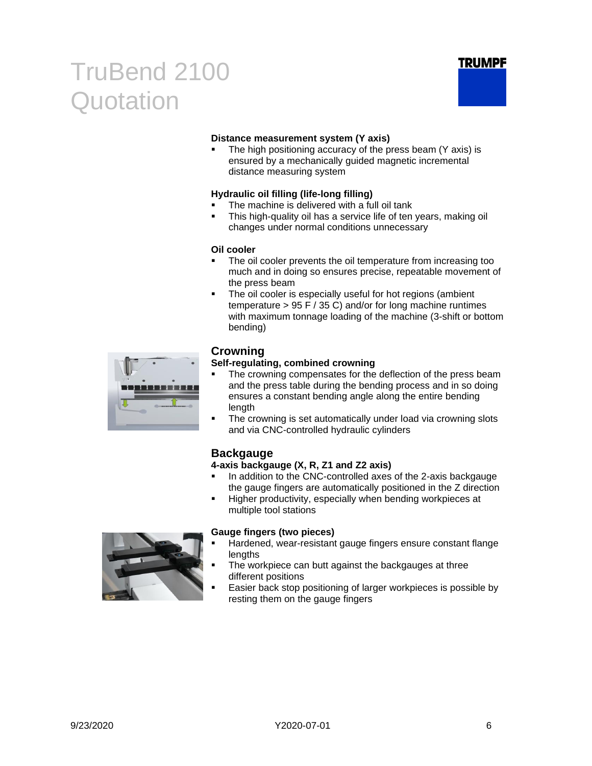

#### **Distance measurement system (Y axis)**

The high positioning accuracy of the press beam (Y axis) is ensured by a mechanically guided magnetic incremental distance measuring system

#### **Hydraulic oil filling (life-long filling)**

- The machine is delivered with a full oil tank
- This high-quality oil has a service life of ten years, making oil changes under normal conditions unnecessary

#### **Oil cooler**

- The oil cooler prevents the oil temperature from increasing too much and in doing so ensures precise, repeatable movement of the press beam
- The oil cooler is especially useful for hot regions (ambient temperature > 95 F / 35 C) and/or for long machine runtimes with maximum tonnage loading of the machine (3-shift or bottom bending)

| 画<br>- 1 | - 1 |  |  |
|----------|-----|--|--|
|          |     |  |  |

#### **Crowning**

#### **Self-regulating, combined crowning**

- The crowning compensates for the deflection of the press beam and the press table during the bending process and in so doing ensures a constant bending angle along the entire bending length
- The crowning is set automatically under load via crowning slots and via CNC-controlled hydraulic cylinders

#### **Backgauge**

#### **4-axis backgauge (X, R, Z1 and Z2 axis)**

- **■** In addition to the CNC-controlled axes of the 2-axis backgauge the gauge fingers are automatically positioned in the Z direction
- Higher productivity, especially when bending workpieces at multiple tool stations



#### **Gauge fingers (two pieces)**

- Hardened, wear-resistant gauge fingers ensure constant flange lengths
- The workpiece can butt against the backgauges at three different positions
- Easier back stop positioning of larger workpieces is possible by resting them on the gauge fingers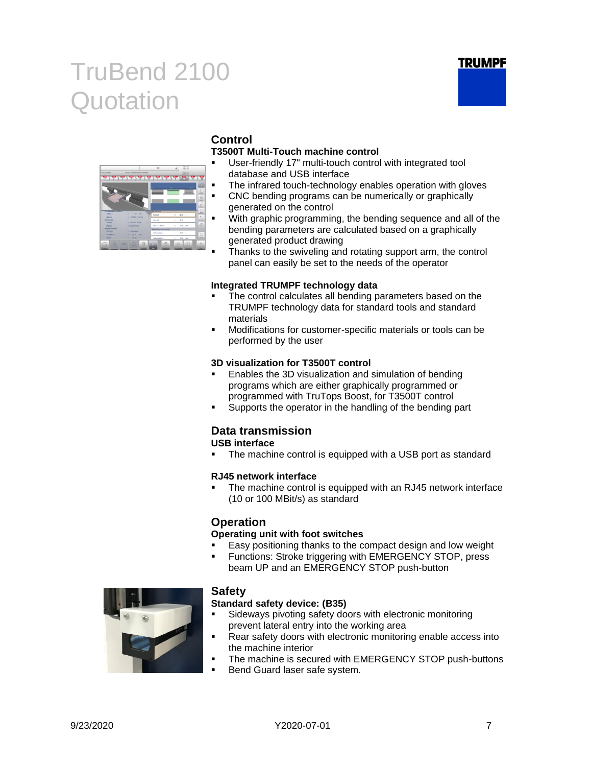



### **Control**

#### **T3500T Multi-Touch machine control**

- User-friendly 17" multi-touch control with integrated tool database and USB interface
- The infrared touch-technology enables operation with gloves
- CNC bending programs can be numerically or graphically generated on the control
- With graphic programming, the bending sequence and all of the bending parameters are calculated based on a graphically generated product drawing
- Thanks to the swiveling and rotating support arm, the control panel can easily be set to the needs of the operator

#### **Integrated TRUMPF technology data**

- The control calculates all bending parameters based on the TRUMPF technology data for standard tools and standard materials
- Modifications for customer-specific materials or tools can be performed by the user

#### **3D visualization for T3500T control**

- Enables the 3D visualization and simulation of bending programs which are either graphically programmed or programmed with TruTops Boost, for T3500T control
- Supports the operator in the handling of the bending part

### **Data transmission**

**USB interface**

The machine control is equipped with a USB port as standard

#### **RJ45 network interface**

The machine control is equipped with an RJ45 network interface (10 or 100 MBit/s) as standard

#### **Operation**

#### **Operating unit with foot switches**

- Easy positioning thanks to the compact design and low weight
- Functions: Stroke triggering with EMERGENCY STOP, press beam UP and an EMERGENCY STOP push-button



#### **Safety**

#### **Standard safety device: (B35)**

- Sideways pivoting safety doors with electronic monitoring prevent lateral entry into the working area
- Rear safety doors with electronic monitoring enable access into the machine interior
- The machine is secured with EMERGENCY STOP push-buttons
- Bend Guard laser safe system.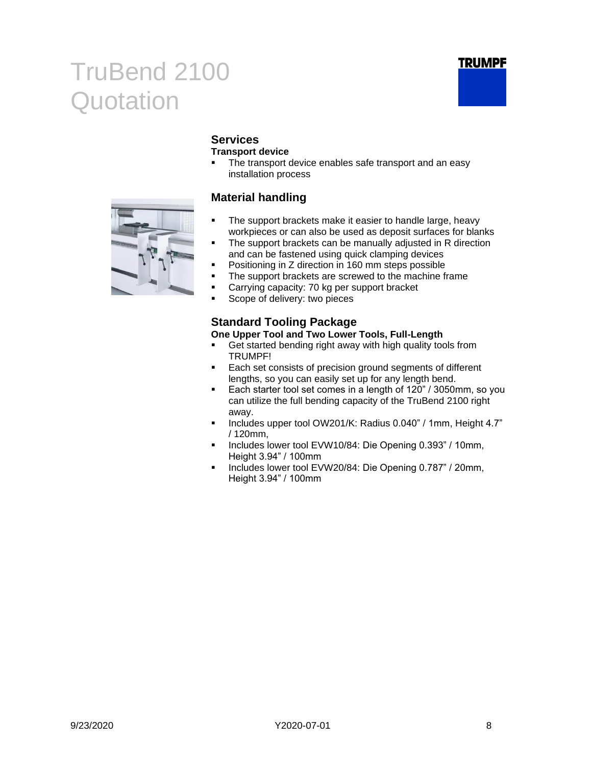



### **Services**

#### **Transport device**

■ The transport device enables safe transport and an easy installation process

#### **Material handling**

- The support brackets make it easier to handle large, heavy workpieces or can also be used as deposit surfaces for blanks
- The support brackets can be manually adjusted in R direction and can be fastened using quick clamping devices
- Positioning in Z direction in 160 mm steps possible
- **•** The support brackets are screwed to the machine frame
- Carrying capacity: 70 kg per support bracket
- Scope of delivery: two pieces

#### **Standard Tooling Package One Upper Tool and Two Lower Tools, Full-Length**

- Get started bending right away with high quality tools from TRUMPF!
- Each set consists of precision ground segments of different lengths, so you can easily set up for any length bend.
- Each starter tool set comes in a length of 120" / 3050mm, so you can utilize the full bending capacity of the TruBend 2100 right away.
- Includes upper tool OW201/K: Radius 0.040" / 1mm, Height 4.7" / 120mm,
- Includes lower tool EVW10/84: Die Opening 0.393" / 10mm, Height 3.94" / 100mm
- Includes lower tool EVW20/84: Die Opening 0.787" / 20mm, Height 3.94" / 100mm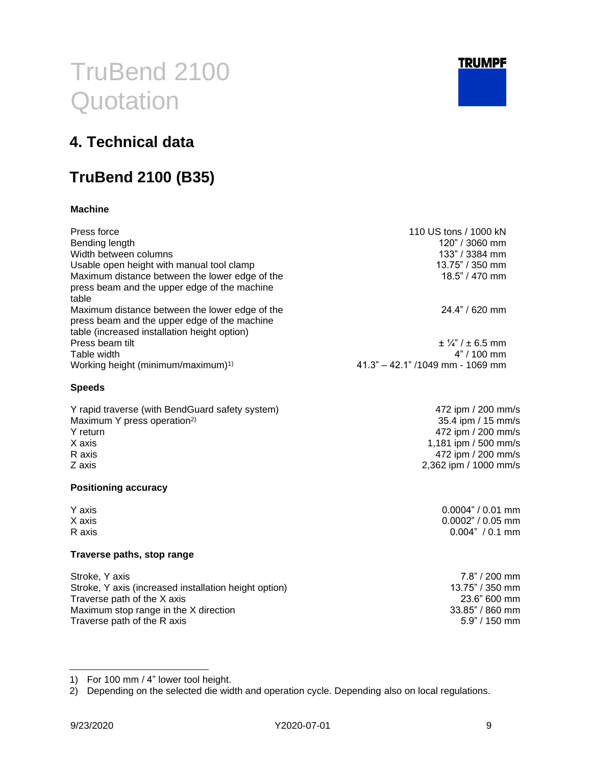

472 ipm / 200 mm/s 35.4 ipm / 15 mm/s 472 ipm / 200 mm/s 1,181 ipm / 500 mm/s 472 ipm / 200 mm/s 2,362 ipm / 1000 mm/s

> $0.0004" / 0.01$  mm  $0.0002" / 0.05$  mm  $0.004" / 0.1 mm$

# TruBend 2100 **Quotation**

### <span id="page-8-0"></span>**4. Technical data**

### **TruBend 2100 (B35)**

#### **Machine**

| Press force<br>Bending length<br>Width between columns<br>Usable open height with manual tool clamp<br>Maximum distance between the lower edge of the<br>press beam and the upper edge of the machine<br>table | 110 US tons / 1000 kN<br>$120" / 3060$ mm<br>133" / 3384 mm<br>$13.75" / 350$ mm<br>$18.5$ " / 470 mm |
|----------------------------------------------------------------------------------------------------------------------------------------------------------------------------------------------------------------|-------------------------------------------------------------------------------------------------------|
| Maximum distance between the lower edge of the<br>press beam and the upper edge of the machine<br>table (increased installation height option)                                                                 | $24.4" / 620$ mm                                                                                      |
| Press beam tilt<br>Table width<br>Working height (minimum/maximum) <sup>1)</sup>                                                                                                                               | $\pm$ 1/4" / $\pm$ 6.5 mm<br>$4" / 100$ mm<br>$41.3" - 42.1" / 1049$ mm - 1069 mm                     |

#### **Speeds**

| Y rapid traverse (with BendGuard safety system) |
|-------------------------------------------------|
| Maximum Y press operation <sup>2)</sup>         |
| Y return                                        |
| X axis                                          |
| R axis                                          |
| Z axis                                          |
|                                                 |

#### **Positioning accuracy**

| Y axis |
|--------|
| X axis |
| R axis |

#### **Traverse paths, stop range**

| 7.8" / 200 mm   |
|-----------------|
| 13.75" / 350 mm |
| 23.6" 600 mm    |
| 33.85" / 860 mm |
| $5.9" / 150$ mm |
|                 |

1) For 100 mm / 4" lower tool height.

2) Depending on the selected die width and operation cycle. Depending also on local regulations.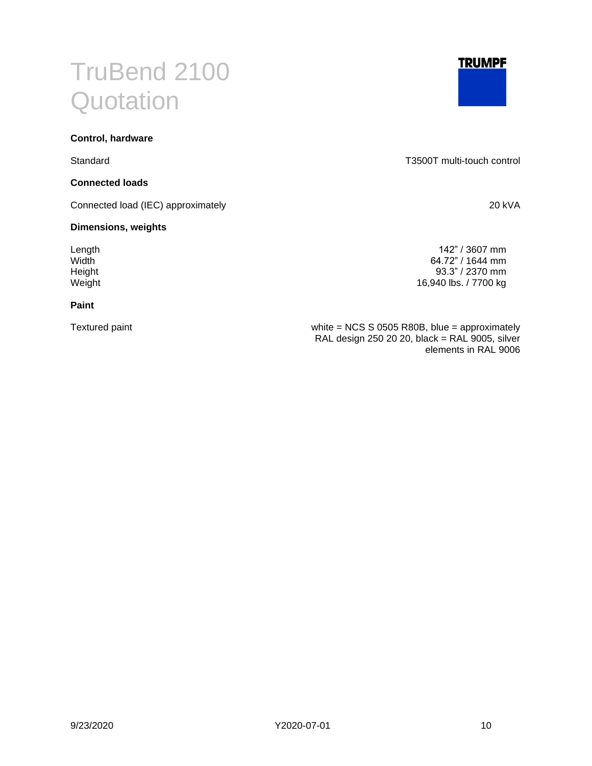#### **Control, hardware**

#### **Connected loads**

Connected load (IEC) approximately 20 kVA

#### **Dimensions, weights**

#### **Paint**

Standard T3500T multi-touch control

Length 142" / 3607 mm Width 64.72" / 1644 mm<br>
Height 93.3" / 2370 mm Height 93.3" / 2370 mm<br>
Weight 16,940 lbs. / 7700 kg 16,940 lbs. / 7700 kg

Textured paint white = NCS S 0505 R80B, blue = approximately RAL design 250 20 20, black = RAL 9005, silver elements in RAL 9006



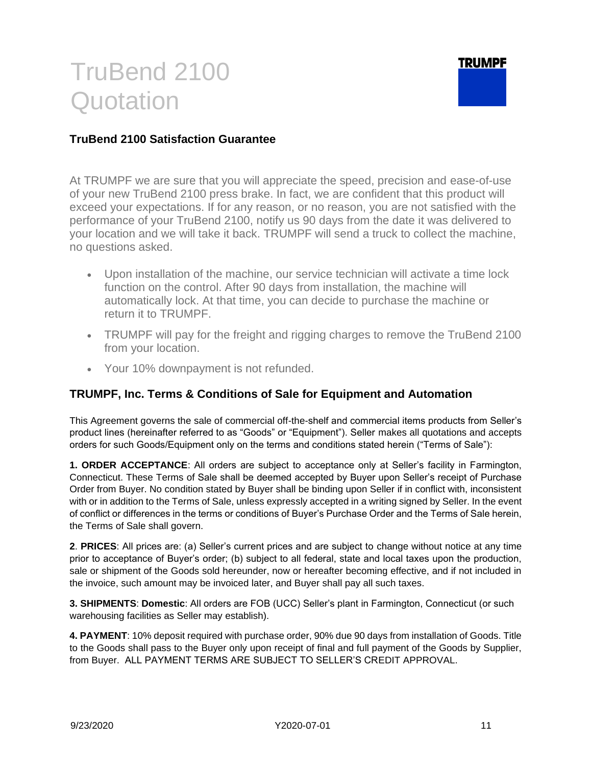

#### **TruBend 2100 Satisfaction Guarantee**

At TRUMPF we are sure that you will appreciate the speed, precision and ease-of-use of your new TruBend 2100 press brake. In fact, we are confident that this product will exceed your expectations. If for any reason, or no reason, you are not satisfied with the performance of your TruBend 2100, notify us 90 days from the date it was delivered to your location and we will take it back. TRUMPF will send a truck to collect the machine, no questions asked.

- Upon installation of the machine, our service technician will activate a time lock function on the control. After 90 days from installation, the machine will automatically lock. At that time, you can decide to purchase the machine or return it to TRUMPF.
- TRUMPF will pay for the freight and rigging charges to remove the TruBend 2100 from your location.
- Your 10% downpayment is not refunded.

#### **TRUMPF, Inc. Terms & Conditions of Sale for Equipment and Automation**

This Agreement governs the sale of commercial off-the-shelf and commercial items products from Seller's product lines (hereinafter referred to as "Goods" or "Equipment"). Seller makes all quotations and accepts orders for such Goods/Equipment only on the terms and conditions stated herein ("Terms of Sale"):

**1. ORDER ACCEPTANCE**: All orders are subject to acceptance only at Seller's facility in Farmington, Connecticut. These Terms of Sale shall be deemed accepted by Buyer upon Seller's receipt of Purchase Order from Buyer. No condition stated by Buyer shall be binding upon Seller if in conflict with, inconsistent with or in addition to the Terms of Sale, unless expressly accepted in a writing signed by Seller. In the event of conflict or differences in the terms or conditions of Buyer's Purchase Order and the Terms of Sale herein, the Terms of Sale shall govern.

**2**. **PRICES**: All prices are: (a) Seller's current prices and are subject to change without notice at any time prior to acceptance of Buyer's order; (b) subject to all federal, state and local taxes upon the production, sale or shipment of the Goods sold hereunder, now or hereafter becoming effective, and if not included in the invoice, such amount may be invoiced later, and Buyer shall pay all such taxes.

**3. SHIPMENTS**: **Domestic**: All orders are FOB (UCC) Seller's plant in Farmington, Connecticut (or such warehousing facilities as Seller may establish).

**4. PAYMENT**: 10% deposit required with purchase order, 90% due 90 days from installation of Goods. Title to the Goods shall pass to the Buyer only upon receipt of final and full payment of the Goods by Supplier, from Buyer. ALL PAYMENT TERMS ARE SUBJECT TO SELLER'S CREDIT APPROVAL.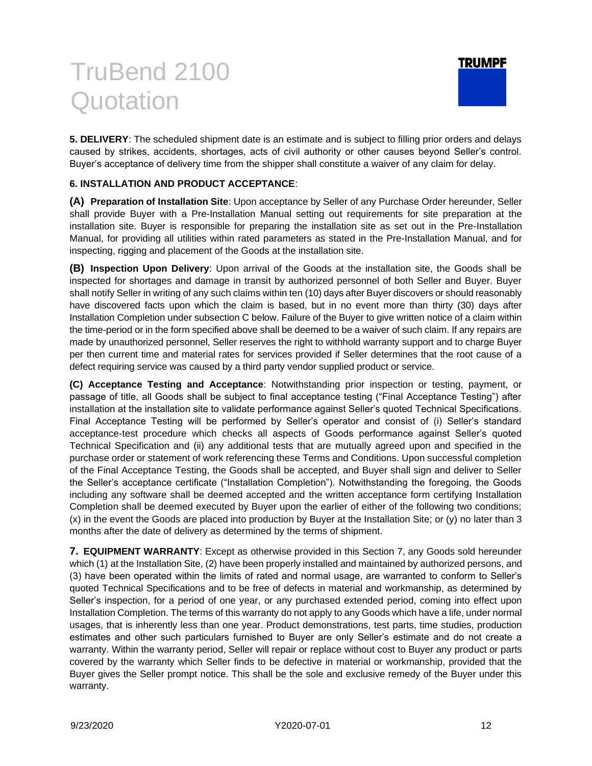

**5. DELIVERY**: The scheduled shipment date is an estimate and is subject to filling prior orders and delays caused by strikes, accidents, shortages, acts of civil authority or other causes beyond Seller's control. Buyer's acceptance of delivery time from the shipper shall constitute a waiver of any claim for delay.

#### **6. INSTALLATION AND PRODUCT ACCEPTANCE**:

**(A) Preparation of Installation Site**: Upon acceptance by Seller of any Purchase Order hereunder, Seller shall provide Buyer with a Pre-Installation Manual setting out requirements for site preparation at the installation site. Buyer is responsible for preparing the installation site as set out in the Pre-Installation Manual, for providing all utilities within rated parameters as stated in the Pre-Installation Manual, and for inspecting, rigging and placement of the Goods at the installation site.

**(B) Inspection Upon Delivery**: Upon arrival of the Goods at the installation site, the Goods shall be inspected for shortages and damage in transit by authorized personnel of both Seller and Buyer. Buyer shall notify Seller in writing of any such claims within ten (10) days after Buyer discovers or should reasonably have discovered facts upon which the claim is based, but in no event more than thirty (30) days after Installation Completion under subsection C below. Failure of the Buyer to give written notice of a claim within the time-period or in the form specified above shall be deemed to be a waiver of such claim. If any repairs are made by unauthorized personnel, Seller reserves the right to withhold warranty support and to charge Buyer per then current time and material rates for services provided if Seller determines that the root cause of a defect requiring service was caused by a third party vendor supplied product or service.

**(C) Acceptance Testing and Acceptance**: Notwithstanding prior inspection or testing, payment, or passage of title, all Goods shall be subject to final acceptance testing ("Final Acceptance Testing") after installation at the installation site to validate performance against Seller's quoted Technical Specifications. Final Acceptance Testing will be performed by Seller's operator and consist of (i) Seller's standard acceptance-test procedure which checks all aspects of Goods performance against Seller's quoted Technical Specification and (ii) any additional tests that are mutually agreed upon and specified in the purchase order or statement of work referencing these Terms and Conditions. Upon successful completion of the Final Acceptance Testing, the Goods shall be accepted, and Buyer shall sign and deliver to Seller the Seller's acceptance certificate ("Installation Completion"). Notwithstanding the foregoing, the Goods including any software shall be deemed accepted and the written acceptance form certifying Installation Completion shall be deemed executed by Buyer upon the earlier of either of the following two conditions; (x) in the event the Goods are placed into production by Buyer at the Installation Site; or (y) no later than 3 months after the date of delivery as determined by the terms of shipment.

**7. EQUIPMENT WARRANTY**: Except as otherwise provided in this Section 7, any Goods sold hereunder which (1) at the Installation Site, (2) have been properly installed and maintained by authorized persons, and (3) have been operated within the limits of rated and normal usage, are warranted to conform to Seller's quoted Technical Specifications and to be free of defects in material and workmanship, as determined by Seller's inspection, for a period of one year, or any purchased extended period, coming into effect upon Installation Completion. The terms of this warranty do not apply to any Goods which have a life, under normal usages, that is inherently less than one year. Product demonstrations, test parts, time studies, production estimates and other such particulars furnished to Buyer are only Seller's estimate and do not create a warranty. Within the warranty period, Seller will repair or replace without cost to Buyer any product or parts covered by the warranty which Seller finds to be defective in material or workmanship, provided that the Buyer gives the Seller prompt notice. This shall be the sole and exclusive remedy of the Buyer under this warranty.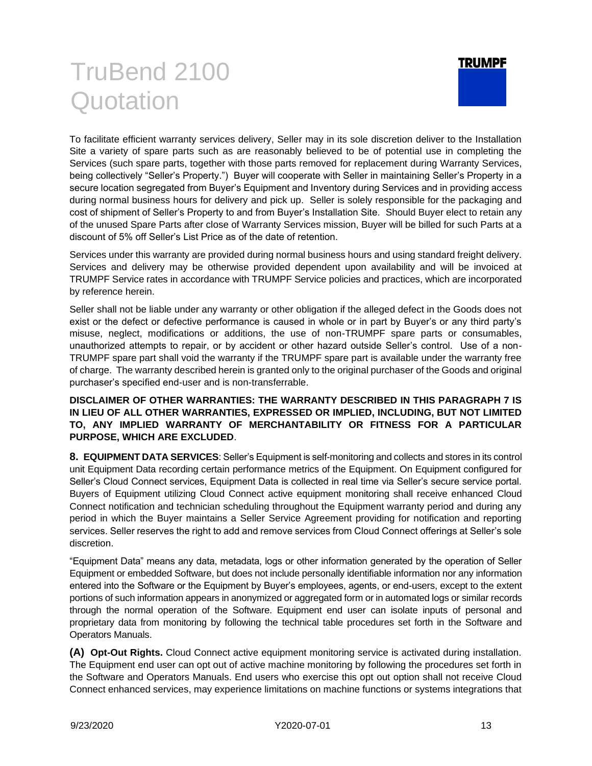

To facilitate efficient warranty services delivery, Seller may in its sole discretion deliver to the Installation Site a variety of spare parts such as are reasonably believed to be of potential use in completing the Services (such spare parts, together with those parts removed for replacement during Warranty Services, being collectively "Seller's Property.") Buyer will cooperate with Seller in maintaining Seller's Property in a secure location segregated from Buyer's Equipment and Inventory during Services and in providing access during normal business hours for delivery and pick up. Seller is solely responsible for the packaging and cost of shipment of Seller's Property to and from Buyer's Installation Site. Should Buyer elect to retain any of the unused Spare Parts after close of Warranty Services mission, Buyer will be billed for such Parts at a discount of 5% off Seller's List Price as of the date of retention.

Services under this warranty are provided during normal business hours and using standard freight delivery. Services and delivery may be otherwise provided dependent upon availability and will be invoiced at TRUMPF Service rates in accordance with TRUMPF Service policies and practices, which are incorporated by reference herein.

Seller shall not be liable under any warranty or other obligation if the alleged defect in the Goods does not exist or the defect or defective performance is caused in whole or in part by Buyer's or any third party's misuse, neglect, modifications or additions, the use of non-TRUMPF spare parts or consumables, unauthorized attempts to repair, or by accident or other hazard outside Seller's control. Use of a non-TRUMPF spare part shall void the warranty if the TRUMPF spare part is available under the warranty free of charge. The warranty described herein is granted only to the original purchaser of the Goods and original purchaser's specified end-user and is non-transferrable.

#### **DISCLAIMER OF OTHER WARRANTIES: THE WARRANTY DESCRIBED IN THIS PARAGRAPH 7 IS IN LIEU OF ALL OTHER WARRANTIES, EXPRESSED OR IMPLIED, INCLUDING, BUT NOT LIMITED TO, ANY IMPLIED WARRANTY OF MERCHANTABILITY OR FITNESS FOR A PARTICULAR PURPOSE, WHICH ARE EXCLUDED**.

**8. EQUIPMENT DATA SERVICES**: Seller's Equipment is self-monitoring and collects and stores in its control unit Equipment Data recording certain performance metrics of the Equipment. On Equipment configured for Seller's Cloud Connect services, Equipment Data is collected in real time via Seller's secure service portal. Buyers of Equipment utilizing Cloud Connect active equipment monitoring shall receive enhanced Cloud Connect notification and technician scheduling throughout the Equipment warranty period and during any period in which the Buyer maintains a Seller Service Agreement providing for notification and reporting services. Seller reserves the right to add and remove services from Cloud Connect offerings at Seller's sole discretion.

"Equipment Data" means any data, metadata, logs or other information generated by the operation of Seller Equipment or embedded Software, but does not include personally identifiable information nor any information entered into the Software or the Equipment by Buyer's employees, agents, or end-users, except to the extent portions of such information appears in anonymized or aggregated form or in automated logs or similar records through the normal operation of the Software. Equipment end user can isolate inputs of personal and proprietary data from monitoring by following the technical table procedures set forth in the Software and Operators Manuals.

**(A) Opt-Out Rights.** Cloud Connect active equipment monitoring service is activated during installation. The Equipment end user can opt out of active machine monitoring by following the procedures set forth in the Software and Operators Manuals. End users who exercise this opt out option shall not receive Cloud Connect enhanced services, may experience limitations on machine functions or systems integrations that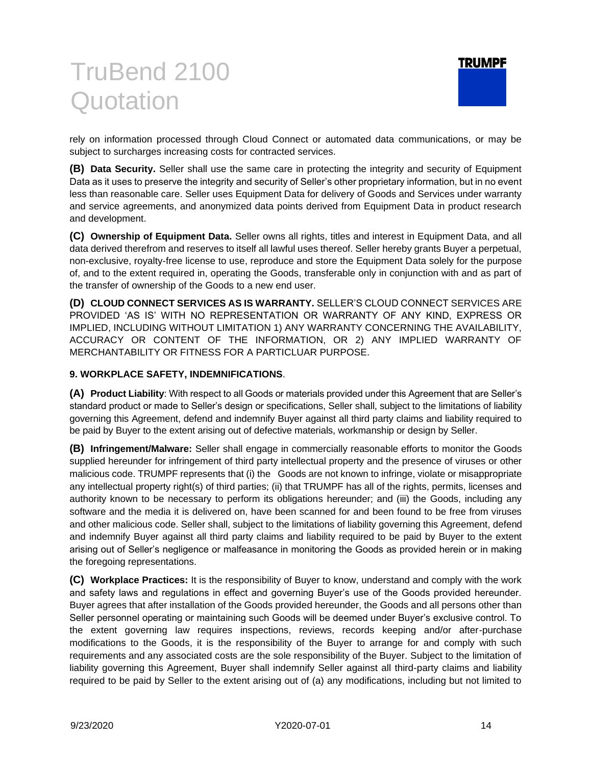

rely on information processed through Cloud Connect or automated data communications, or may be subject to surcharges increasing costs for contracted services.

**(B) Data Security.** Seller shall use the same care in protecting the integrity and security of Equipment Data as it uses to preserve the integrity and security of Seller's other proprietary information, but in no event less than reasonable care. Seller uses Equipment Data for delivery of Goods and Services under warranty and service agreements, and anonymized data points derived from Equipment Data in product research and development.

**(C) Ownership of Equipment Data.** Seller owns all rights, titles and interest in Equipment Data, and all data derived therefrom and reserves to itself all lawful uses thereof. Seller hereby grants Buyer a perpetual, non-exclusive, royalty-free license to use, reproduce and store the Equipment Data solely for the purpose of, and to the extent required in, operating the Goods, transferable only in conjunction with and as part of the transfer of ownership of the Goods to a new end user.

**(D) CLOUD CONNECT SERVICES AS IS WARRANTY.** SELLER'S CLOUD CONNECT SERVICES ARE PROVIDED 'AS IS' WITH NO REPRESENTATION OR WARRANTY OF ANY KIND, EXPRESS OR IMPLIED, INCLUDING WITHOUT LIMITATION 1) ANY WARRANTY CONCERNING THE AVAILABILITY, ACCURACY OR CONTENT OF THE INFORMATION, OR 2) ANY IMPLIED WARRANTY OF MERCHANTABILITY OR FITNESS FOR A PARTICLUAR PURPOSE.

#### **9. WORKPLACE SAFETY, INDEMNIFICATIONS**.

**(A) Product Liability**: With respect to all Goods or materials provided under this Agreement that are Seller's standard product or made to Seller's design or specifications, Seller shall, subject to the limitations of liability governing this Agreement, defend and indemnify Buyer against all third party claims and liability required to be paid by Buyer to the extent arising out of defective materials, workmanship or design by Seller.

**(B) Infringement/Malware:** Seller shall engage in commercially reasonable efforts to monitor the Goods supplied hereunder for infringement of third party intellectual property and the presence of viruses or other malicious code. TRUMPF represents that (i) the Goods are not known to infringe, violate or misappropriate any intellectual property right(s) of third parties; (ii) that TRUMPF has all of the rights, permits, licenses and authority known to be necessary to perform its obligations hereunder; and (iii) the Goods, including any software and the media it is delivered on, have been scanned for and been found to be free from viruses and other malicious code. Seller shall, subject to the limitations of liability governing this Agreement, defend and indemnify Buyer against all third party claims and liability required to be paid by Buyer to the extent arising out of Seller's negligence or malfeasance in monitoring the Goods as provided herein or in making the foregoing representations.

**(C) Workplace Practices:** It is the responsibility of Buyer to know, understand and comply with the work and safety laws and regulations in effect and governing Buyer's use of the Goods provided hereunder. Buyer agrees that after installation of the Goods provided hereunder, the Goods and all persons other than Seller personnel operating or maintaining such Goods will be deemed under Buyer's exclusive control. To the extent governing law requires inspections, reviews, records keeping and/or after-purchase modifications to the Goods, it is the responsibility of the Buyer to arrange for and comply with such requirements and any associated costs are the sole responsibility of the Buyer. Subject to the limitation of liability governing this Agreement, Buyer shall indemnify Seller against all third-party claims and liability required to be paid by Seller to the extent arising out of (a) any modifications, including but not limited to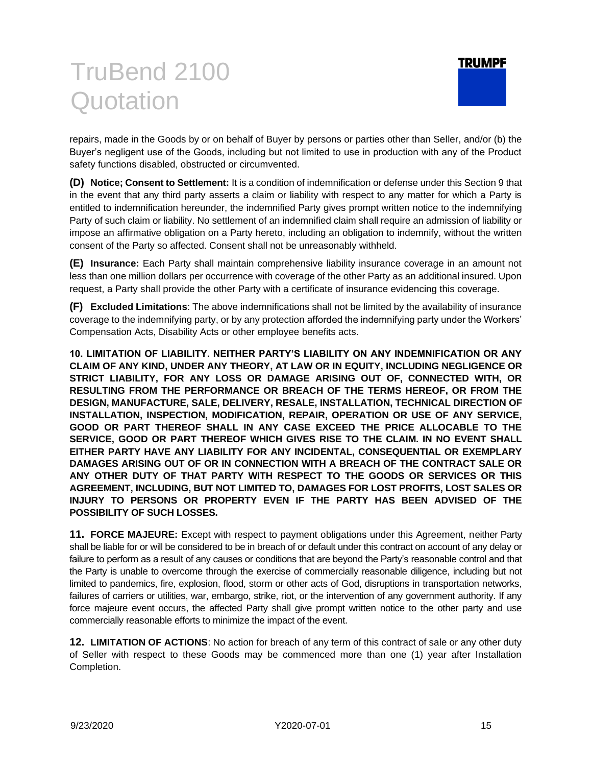

repairs, made in the Goods by or on behalf of Buyer by persons or parties other than Seller, and/or (b) the Buyer's negligent use of the Goods, including but not limited to use in production with any of the Product safety functions disabled, obstructed or circumvented.

**(D) Notice; Consent to Settlement:** It is a condition of indemnification or defense under this Section 9 that in the event that any third party asserts a claim or liability with respect to any matter for which a Party is entitled to indemnification hereunder, the indemnified Party gives prompt written notice to the indemnifying Party of such claim or liability. No settlement of an indemnified claim shall require an admission of liability or impose an affirmative obligation on a Party hereto, including an obligation to indemnify, without the written consent of the Party so affected. Consent shall not be unreasonably withheld.

**(E) Insurance:** Each Party shall maintain comprehensive liability insurance coverage in an amount not less than one million dollars per occurrence with coverage of the other Party as an additional insured. Upon request, a Party shall provide the other Party with a certificate of insurance evidencing this coverage.

**(F) Excluded Limitations**: The above indemnifications shall not be limited by the availability of insurance coverage to the indemnifying party, or by any protection afforded the indemnifying party under the Workers' Compensation Acts, Disability Acts or other employee benefits acts.

**10. LIMITATION OF LIABILITY. NEITHER PARTY'S LIABILITY ON ANY INDEMNIFICATION OR ANY CLAIM OF ANY KIND, UNDER ANY THEORY, AT LAW OR IN EQUITY, INCLUDING NEGLIGENCE OR STRICT LIABILITY, FOR ANY LOSS OR DAMAGE ARISING OUT OF, CONNECTED WITH, OR RESULTING FROM THE PERFORMANCE OR BREACH OF THE TERMS HEREOF, OR FROM THE DESIGN, MANUFACTURE, SALE, DELIVERY, RESALE, INSTALLATION, TECHNICAL DIRECTION OF INSTALLATION, INSPECTION, MODIFICATION, REPAIR, OPERATION OR USE OF ANY SERVICE, GOOD OR PART THEREOF SHALL IN ANY CASE EXCEED THE PRICE ALLOCABLE TO THE SERVICE, GOOD OR PART THEREOF WHICH GIVES RISE TO THE CLAIM. IN NO EVENT SHALL EITHER PARTY HAVE ANY LIABILITY FOR ANY INCIDENTAL, CONSEQUENTIAL OR EXEMPLARY DAMAGES ARISING OUT OF OR IN CONNECTION WITH A BREACH OF THE CONTRACT SALE OR ANY OTHER DUTY OF THAT PARTY WITH RESPECT TO THE GOODS OR SERVICES OR THIS AGREEMENT, INCLUDING, BUT NOT LIMITED TO, DAMAGES FOR LOST PROFITS, LOST SALES OR INJURY TO PERSONS OR PROPERTY EVEN IF THE PARTY HAS BEEN ADVISED OF THE POSSIBILITY OF SUCH LOSSES.**

**11. FORCE MAJEURE:** Except with respect to payment obligations under this Agreement, neither Party shall be liable for or will be considered to be in breach of or default under this contract on account of any delay or failure to perform as a result of any causes or conditions that are beyond the Party's reasonable control and that the Party is unable to overcome through the exercise of commercially reasonable diligence, including but not limited to pandemics, fire, explosion, flood, storm or other acts of God, disruptions in transportation networks, failures of carriers or utilities, war, embargo, strike, riot, or the intervention of any government authority. If any force majeure event occurs, the affected Party shall give prompt written notice to the other party and use commercially reasonable efforts to minimize the impact of the event.

**12. LIMITATION OF ACTIONS**: No action for breach of any term of this contract of sale or any other duty of Seller with respect to these Goods may be commenced more than one (1) year after Installation Completion.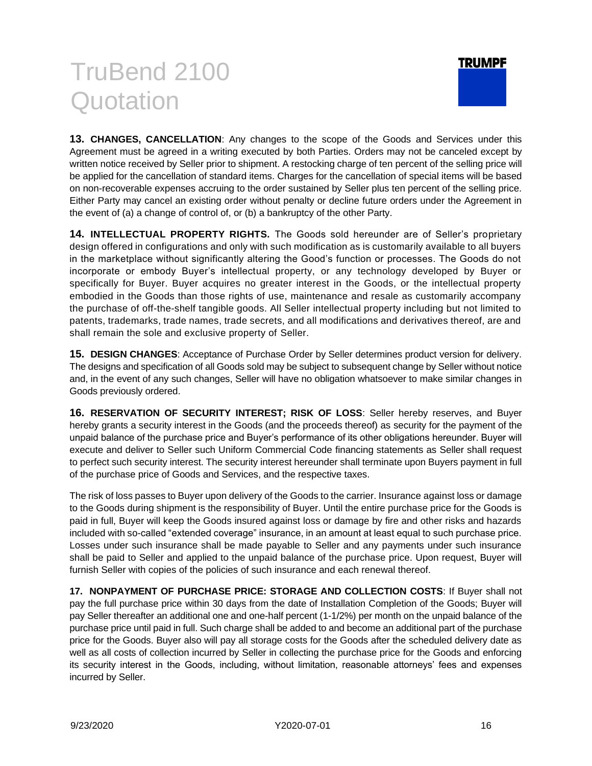

**13. CHANGES, CANCELLATION**: Any changes to the scope of the Goods and Services under this Agreement must be agreed in a writing executed by both Parties. Orders may not be canceled except by written notice received by Seller prior to shipment. A restocking charge of ten percent of the selling price will be applied for the cancellation of standard items. Charges for the cancellation of special items will be based on non-recoverable expenses accruing to the order sustained by Seller plus ten percent of the selling price. Either Party may cancel an existing order without penalty or decline future orders under the Agreement in the event of (a) a change of control of, or (b) a bankruptcy of the other Party.

**14. INTELLECTUAL PROPERTY RIGHTS.** The Goods sold hereunder are of Seller's proprietary design offered in configurations and only with such modification as is customarily available to all buyers in the marketplace without significantly altering the Good's function or processes. The Goods do not incorporate or embody Buyer's intellectual property, or any technology developed by Buyer or specifically for Buyer. Buyer acquires no greater interest in the Goods, or the intellectual property embodied in the Goods than those rights of use, maintenance and resale as customarily accompany the purchase of off-the-shelf tangible goods. All Seller intellectual property including but not limited to patents, trademarks, trade names, trade secrets, and all modifications and derivatives thereof, are and shall remain the sole and exclusive property of Seller.

**15. DESIGN CHANGES**: Acceptance of Purchase Order by Seller determines product version for delivery. The designs and specification of all Goods sold may be subject to subsequent change by Seller without notice and, in the event of any such changes, Seller will have no obligation whatsoever to make similar changes in Goods previously ordered.

**16. RESERVATION OF SECURITY INTEREST; RISK OF LOSS**: Seller hereby reserves, and Buyer hereby grants a security interest in the Goods (and the proceeds thereof) as security for the payment of the unpaid balance of the purchase price and Buyer's performance of its other obligations hereunder. Buyer will execute and deliver to Seller such Uniform Commercial Code financing statements as Seller shall request to perfect such security interest. The security interest hereunder shall terminate upon Buyers payment in full of the purchase price of Goods and Services, and the respective taxes.

The risk of loss passes to Buyer upon delivery of the Goods to the carrier. Insurance against loss or damage to the Goods during shipment is the responsibility of Buyer. Until the entire purchase price for the Goods is paid in full, Buyer will keep the Goods insured against loss or damage by fire and other risks and hazards included with so-called "extended coverage" insurance, in an amount at least equal to such purchase price. Losses under such insurance shall be made payable to Seller and any payments under such insurance shall be paid to Seller and applied to the unpaid balance of the purchase price. Upon request, Buyer will furnish Seller with copies of the policies of such insurance and each renewal thereof.

**17. NONPAYMENT OF PURCHASE PRICE: STORAGE AND COLLECTION COSTS**: If Buyer shall not pay the full purchase price within 30 days from the date of Installation Completion of the Goods; Buyer will pay Seller thereafter an additional one and one-half percent (1-1/2%) per month on the unpaid balance of the purchase price until paid in full. Such charge shall be added to and become an additional part of the purchase price for the Goods. Buyer also will pay all storage costs for the Goods after the scheduled delivery date as well as all costs of collection incurred by Seller in collecting the purchase price for the Goods and enforcing its security interest in the Goods, including, without limitation, reasonable attorneys' fees and expenses incurred by Seller.